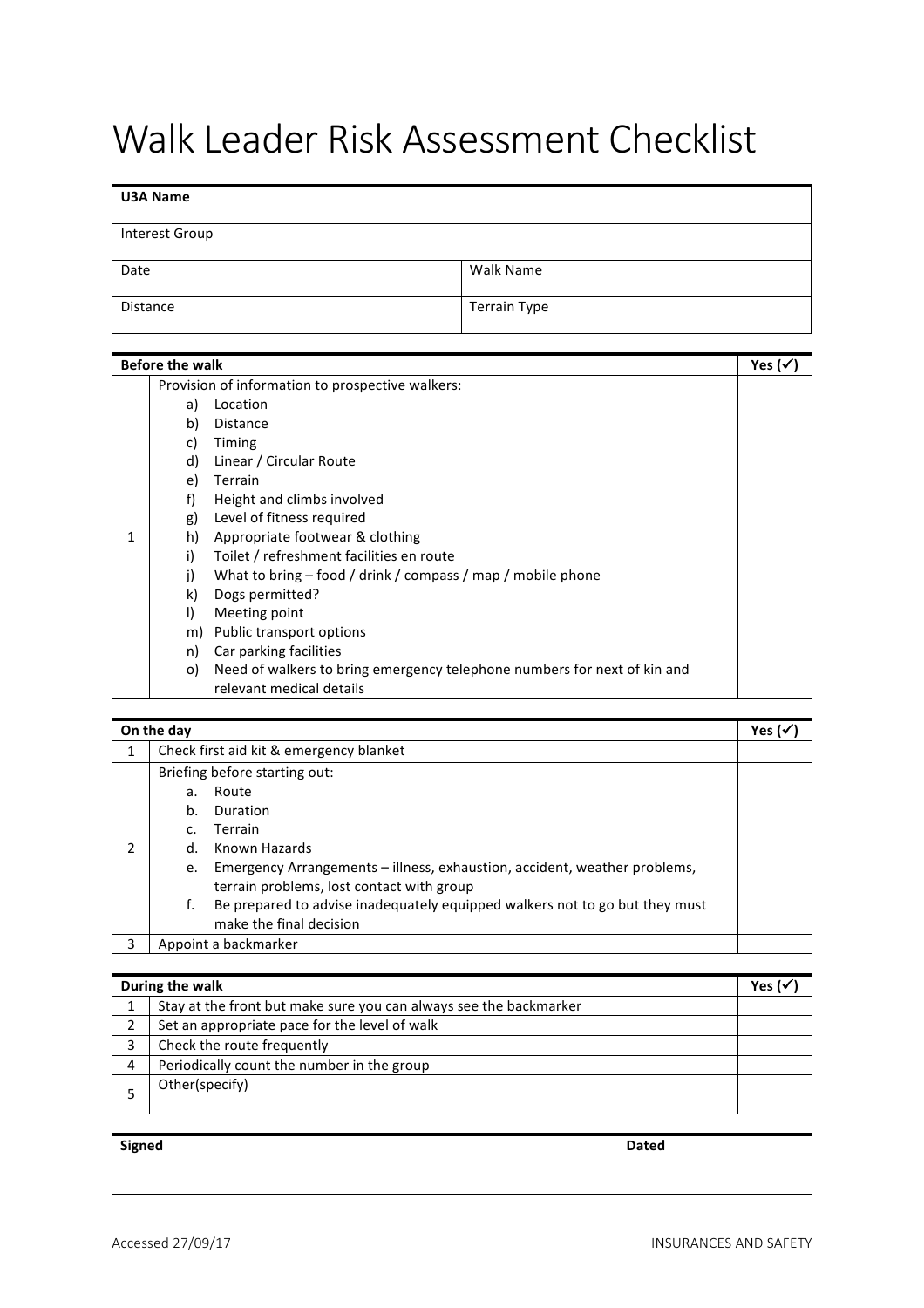## Walk Leader Risk Assessment Checklist

## **U3A Name** Interest Group Date Walk Name Distance Terrain Type

| <b>Before the walk</b> |                                                  |                                                                          |  |
|------------------------|--------------------------------------------------|--------------------------------------------------------------------------|--|
|                        | Provision of information to prospective walkers: |                                                                          |  |
|                        | a)                                               | Location                                                                 |  |
|                        | b)                                               | Distance                                                                 |  |
|                        | c)                                               | Timing                                                                   |  |
|                        | d)                                               | Linear / Circular Route                                                  |  |
|                        | e)                                               | <b>Terrain</b>                                                           |  |
|                        | f)                                               | Height and climbs involved                                               |  |
|                        | g)                                               | Level of fitness required                                                |  |
|                        | h)                                               | Appropriate footwear & clothing                                          |  |
|                        | i)                                               | Toilet / refreshment facilities en route                                 |  |
|                        | j)                                               | What to bring – food / drink / compass / map / mobile phone              |  |
|                        | k)                                               | Dogs permitted?                                                          |  |
|                        | I)                                               | Meeting point                                                            |  |
|                        | m)                                               | Public transport options                                                 |  |
|                        | n)                                               | Car parking facilities                                                   |  |
|                        | o)                                               | Need of walkers to bring emergency telephone numbers for next of kin and |  |
|                        |                                                  | relevant medical details                                                 |  |

| On the day |                                         |                                                                             | Yes ( |
|------------|-----------------------------------------|-----------------------------------------------------------------------------|-------|
|            | Check first aid kit & emergency blanket |                                                                             |       |
|            | Briefing before starting out:           |                                                                             |       |
|            | a.                                      | Route                                                                       |       |
|            | b.                                      | Duration                                                                    |       |
|            | C.                                      | Terrain                                                                     |       |
| 2          | d.                                      | Known Hazards                                                               |       |
|            | e.                                      | Emergency Arrangements – illness, exhaustion, accident, weather problems,   |       |
|            |                                         | terrain problems, lost contact with group                                   |       |
|            | f.                                      | Be prepared to advise inadequately equipped walkers not to go but they must |       |
|            |                                         | make the final decision                                                     |       |
| 3          | Appoint a backmarker                    |                                                                             |       |

| During the walk |                                                                   |  |  |
|-----------------|-------------------------------------------------------------------|--|--|
|                 | Stay at the front but make sure you can always see the backmarker |  |  |
| າ               | Set an appropriate pace for the level of walk                     |  |  |
| 3               | Check the route frequently                                        |  |  |
| 4               | Periodically count the number in the group                        |  |  |
|                 | Other(specify)                                                    |  |  |

**Signed Dated**